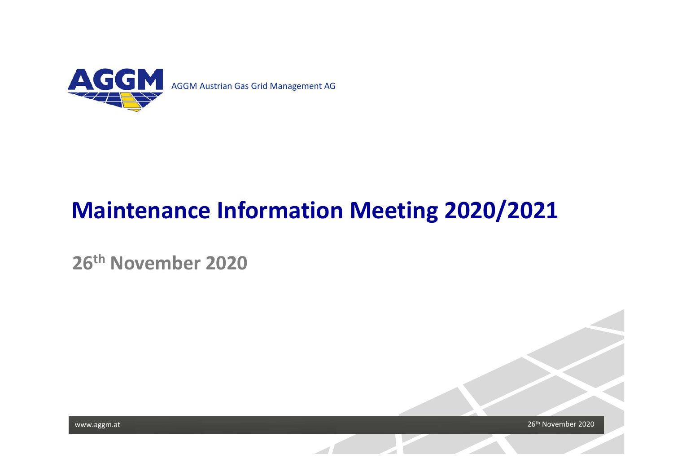

# **Maintenance Information Meeting 2020/2021**

**26th November 2020**



www.aggm.at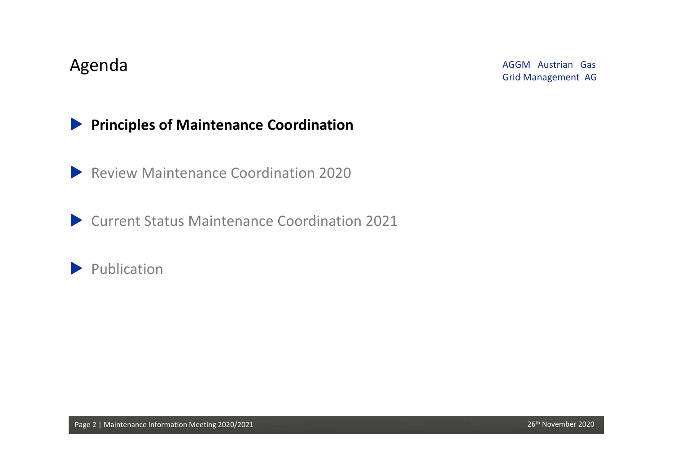### **Principles of Maintenance Coordination**

**Review Maintenance Coordination 2020** 

Current Status Maintenance Coordination 2021

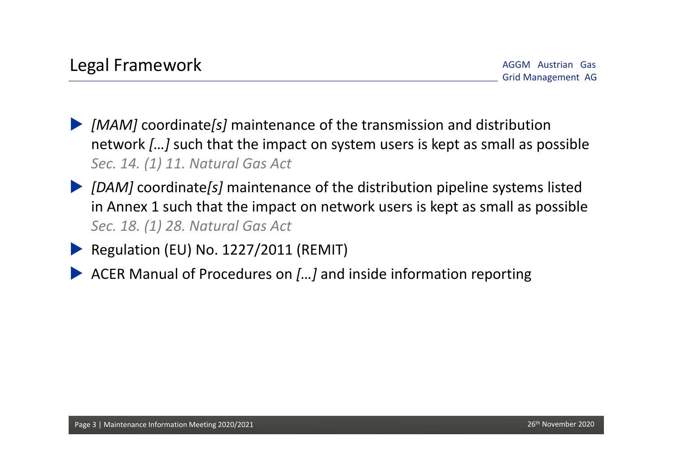- *[MAM]* coordinate*[s]* maintenance of the transmission and distribution network *[…]* such that the impact on system users is kept as small as possible *Sec. 14. (1) 11. Natural Gas Act*
- *[DAM]* coordinate*[s]* maintenance of the distribution pipeline systems listed in Annex 1 such that the impact on network users is kept as small as possible *Sec. 18. (1) 28. Natural Gas Act*
	- Regulation (EU) No. 1227/2011 (REMIT)
	- ACER Manual of Procedures on *[…]* and inside information reporting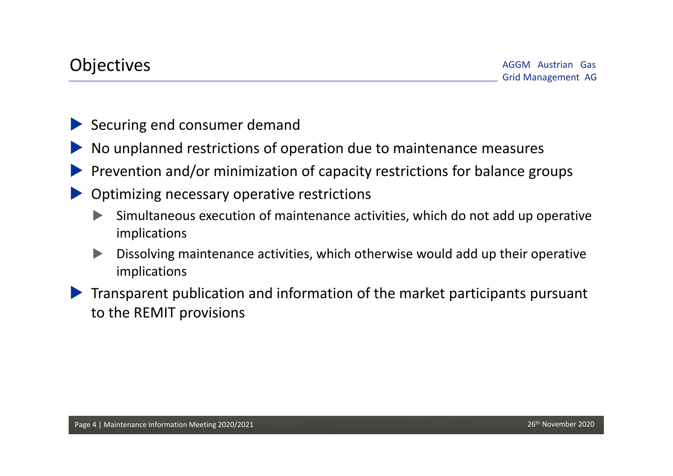- Securing end consumer demand
- No unplanned restrictions of operation due to maintenance measures
- Prevention and/or minimization of capacity restrictions for balance groups
- Optimizing necessary operative restrictions
	- Simultaneous execution of maintenance activities, which do not add up operative implications
	- Dissolving maintenance activities, which otherwise would add up their operative implications
- Transparent publication and information of the market participants pursuant to the REMIT provisions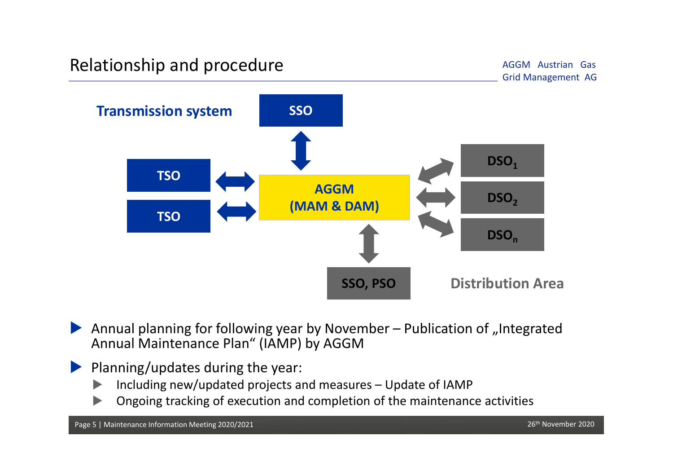# Relationship and procedure<br>
Grid Management AG Grid Management AG

AGGM Austrian Gas



Annual planning for following year by November - Publication of "Integrated Annual Maintenance Plan" (IAMP) by AGGM

#### Planning/updates during the year:

- $\blacktriangleright$ Including new/updated projects and measures – Update of IAMP
- $\blacktriangleright$ Ongoing tracking of execution and completion of the maintenance activities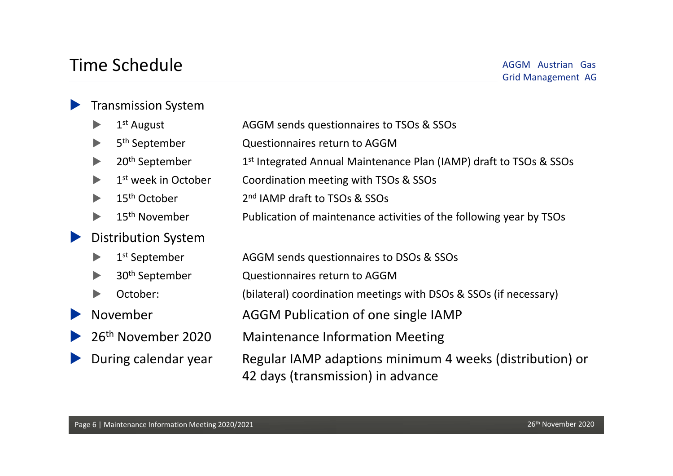## Time Schedule

#### **Transmission System**

|                                                     |                                | $1st$ August                    | AGGM sends questionnaires to TSOs & SSOs                                                      |
|-----------------------------------------------------|--------------------------------|---------------------------------|-----------------------------------------------------------------------------------------------|
|                                                     |                                | 5 <sup>th</sup> September       | Questionnaires return to AGGM                                                                 |
|                                                     |                                | 20 <sup>th</sup> September      | 1 <sup>st</sup> Integrated Annual Maintenance Plan (IAMP) draft to TSOs & SSOs                |
|                                                     |                                | 1 <sup>st</sup> week in October | Coordination meeting with TSOs & SSOs                                                         |
|                                                     | $\blacktriangleright$          | 15 <sup>th</sup> October        | 2 <sup>nd</sup> IAMP draft to TSOs & SSOs                                                     |
|                                                     |                                | 15 <sup>th</sup> November       | Publication of maintenance activities of the following year by TSOs                           |
| <b>Distribution System</b><br>$\blacktriangleright$ |                                |                                 |                                                                                               |
|                                                     | $\blacktriangleright$          | 1 <sup>st</sup> September       | AGGM sends questionnaires to DSOs & SSOs                                                      |
|                                                     | $\blacktriangleright$          | 30 <sup>th</sup> September      | Questionnaires return to AGGM                                                                 |
|                                                     | $\blacktriangleright$          | October:                        | (bilateral) coordination meetings with DSOs & SSOs (if necessary)                             |
| $\blacktriangleright$                               | November                       |                                 | AGGM Publication of one single IAMP                                                           |
| $\blacktriangleright$                               | 26 <sup>th</sup> November 2020 |                                 | <b>Maintenance Information Meeting</b>                                                        |
| $\blacktriangleright$                               | During calendar year           |                                 | Regular IAMP adaptions minimum 4 weeks (distribution) or<br>42 days (transmission) in advance |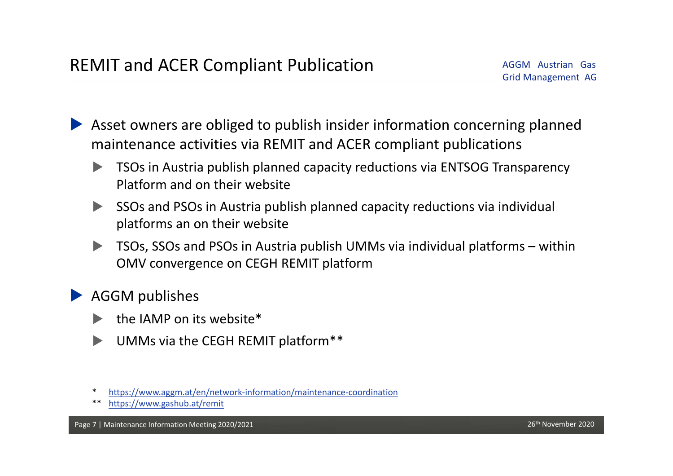Asset owners are obliged to publish insider information concerning planned maintenance activities via REMIT and ACER compliant publications

- TSOs in Austria publish planned capacity reductions via ENTSOG Transparency Platform and on their website
- SSOs and PSOs in Austria publish planned capacity reductions via individual platforms an on their website
- TSOs, SSOs and PSOs in Austria publish UMMs via individual platforms within OMV convergence on CEGH REMIT platform

AGGM publishes

- the IAMP on its website\*
- UMMs via the CEGH REMIT platform\*\*
- \*https://www.aggm.at/en/network‐information/maintenance‐coordination
- \*\* https://www.gashub.at/remit

Page 7 | Maintenance Information Meeting 2020/2021 26th November 2010 26th November 2020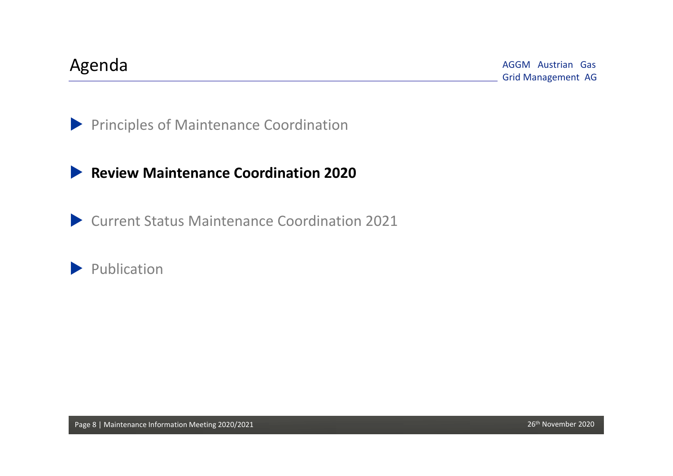AGGM Austrian Gas Grid Management AG Agenda

**Principles of Maintenance Coordination** 

### **Review Maintenance Coordination 2020**

Current Status Maintenance Coordination 2021

Publication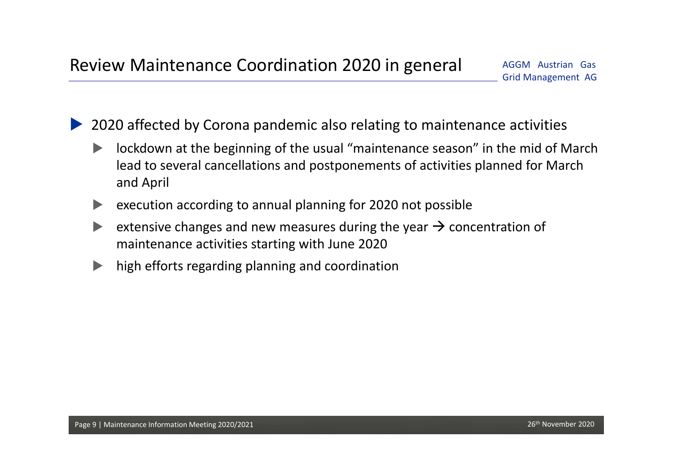2020 affected by Corona pandemic also relating to maintenance activities

- **ID** lockdown at the beginning of the usual "maintenance season" in the mid of March lead to several cancellations and postponements of activities planned for March and April
- execution according to annual planning for 2020 not possible
- extensive changes and new measures during the year  $\rightarrow$  concentration of maintenance activities starting with June 2020
- high efforts regarding planning and coordination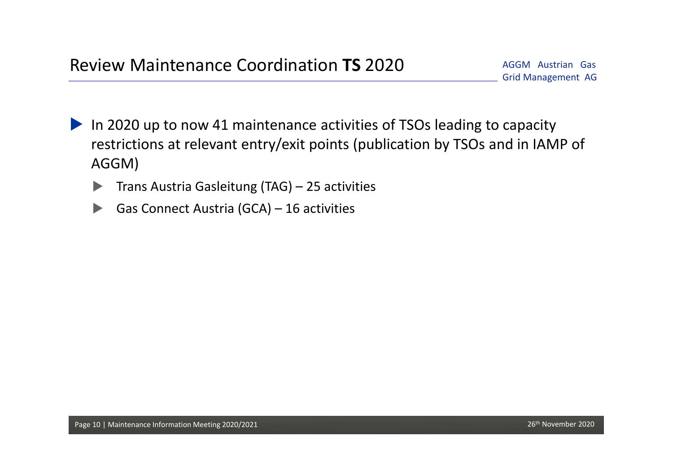- In 2020 up to now 41 maintenance activities of TSOs leading to capacity restrictions at relevant entry/exit points (publication by TSOs and in IAMP of AGGM)
	- $\triangleright$  Trans Austria Gasleitung (TAG) 25 activities
	- Gas Connect Austria  $(GCA) 16$  activities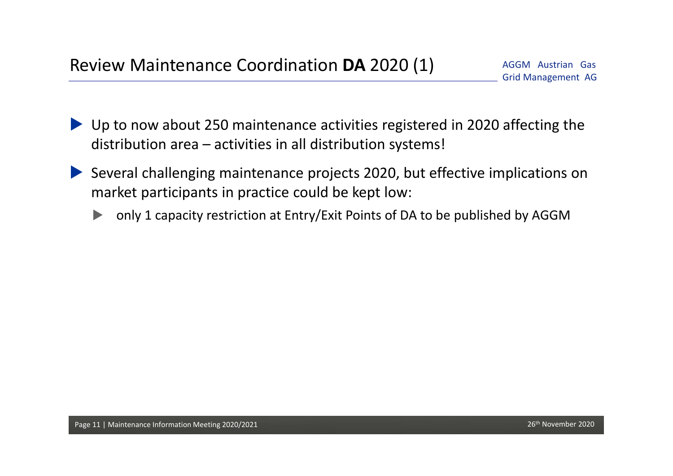- ▶ Up to now about 250 maintenance activities registered in 2020 affecting the distribution area – activities in all distribution systems!
- Several challenging maintenance projects 2020, but effective implications on market participants in practice could be kept low:
	- only 1 capacity restriction at Entry/Exit Points of DA to be published by AGGM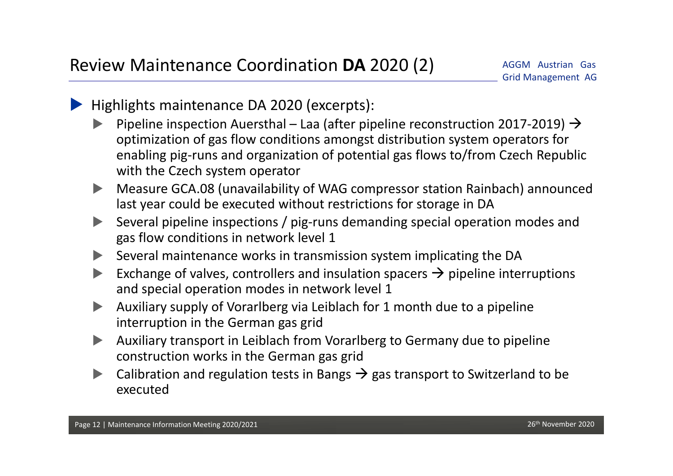- Highlights maintenance DA 2020 (excerpts):
	- Pipeline inspection Auersthal Laa (after pipeline reconstruction 2017-2019)  $\rightarrow$ optimization of gas flow conditions amongst distribution system operators for enabling pig‐runs and organization of potential gas flows to/from Czech Republic with the Czech system operator
	- Measure GCA.08 (unavailability of WAG compressor station Rainbach) announced last year could be executed without restrictions for storage in DA
	- Several pipeline inspections / pig‐runs demanding special operation modes and gas flow conditions in network level 1
	- $\triangleright$  Several maintenance works in transmission system implicating the DA
	- Exchange of valves, controllers and insulation spacers  $\rightarrow$  pipeline interruptions and special operation modes in network level 1
	- Auxiliary supply of Vorarlberg via Leiblach for 1 month due to a pipeline interruption in the German gas grid
	- Auxiliary transport in Leiblach from Vorarlberg to Germany due to pipeline construction works in the German gas grid
	- Calibration and regulation tests in Bangs  $\rightarrow$  gas transport to Switzerland to be executed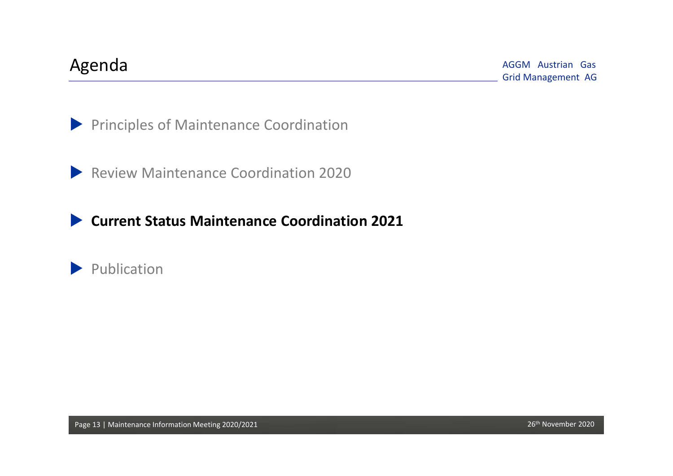AGGM Austrian Gas Grid Management AG Agenda

**Principles of Maintenance Coordination** 

**Review Maintenance Coordination 2020** 

**Current Status Maintenance Coordination 2021**

Publication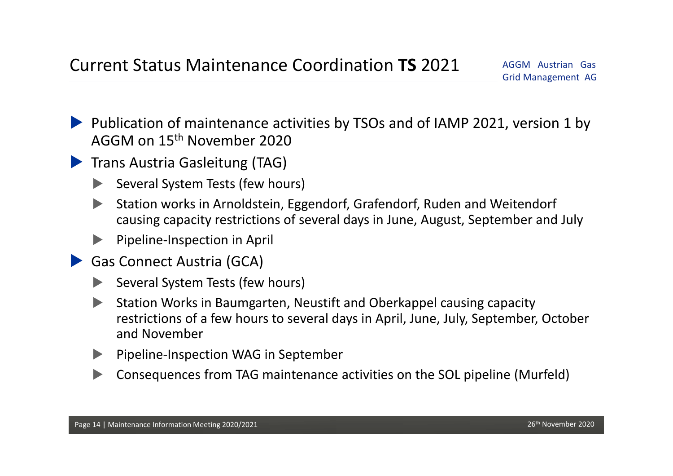- Publication of maintenance activities by TSOs and of IAMP 2021, version 1 by AGGM on 15<sup>th</sup> November 2020
- **Trans Austria Gasleitung (TAG)** 
	- Several System Tests (few hours)
	- Station works in Arnoldstein, Eggendorf, Grafendorf, Ruden and Weitendorf causing capacity restrictions of several days in June, August, September and July
	- Pipeline‐Inspection in April
	- Gas Connect Austria (GCA)
		- Several System Tests (few hours)
		- Station Works in Baumgarten, Neustift and Oberkappel causing capacity restrictions of a few hours to several days in April, June, July, September, October and November
		- Pipeline‐Inspection WAG in September
		- Consequences from TAG maintenance activities on the SOL pipeline (Murfeld)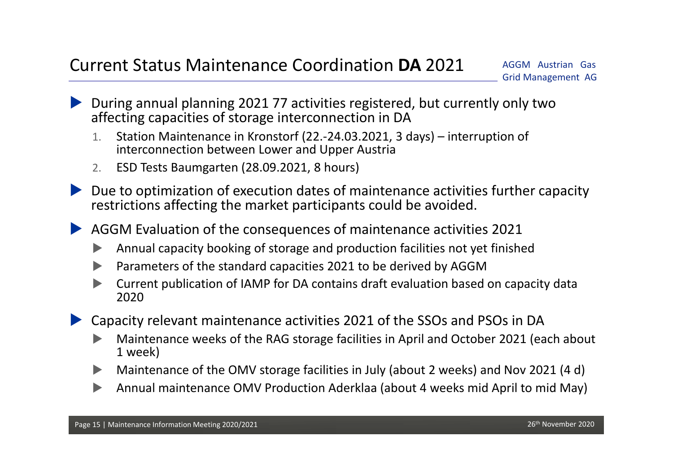- During annual planning 2021 77 activities registered, but currently only two affecting capacities of storage interconnection in DA
	- 1. Station Maintenance in Kronstorf (22.‐24.03.2021, 3 days) – interruption of interconnection between Lower and Upper Austria
	- 2.ESD Tests Baumgarten (28.09.2021, 8 hours)
- Due to optimization of execution dates of maintenance activities further capacity restrictions affecting the market participants could be avoided.
- AGGM Evaluation of the consequences of maintenance activities 2021
	- $\blacktriangleright$ Annual capacity booking of storage and production facilities not yet finished
	- $\blacktriangleright$ Parameters of the standard capacities 2021 to be derived by AGGM
	- $\blacktriangleright$  Current publication of IAMP for DA contains draft evaluation based on capacity data 2020
- Capacity relevant maintenance activities 2021 of the SSOs and PSOs in DA
	- $\blacktriangleright$  Maintenance weeks of the RAG storage facilities in April and October 2021 (each about 1 week)
	- $\blacktriangleright$ Maintenance of the OMV storage facilities in July (about 2 weeks) and Nov 2021 (4 d)
	- $\blacktriangleright$ Annual maintenance OMV Production Aderklaa (about 4 weeks mid April to mid May)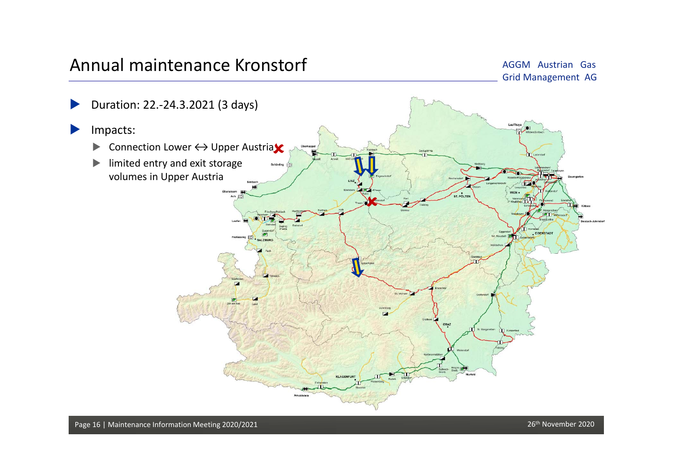## Annual maintenance Kronstorf

AGGM Austrian Gas Grid Management AG

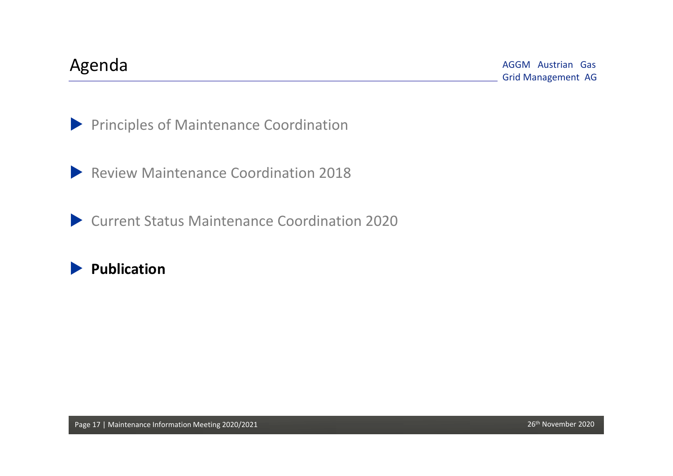AGGM Austrian Gas Grid Management AG Agenda

**Principles of Maintenance Coordination** 

**Review Maintenance Coordination 2018** 

Current Status Maintenance Coordination 2020

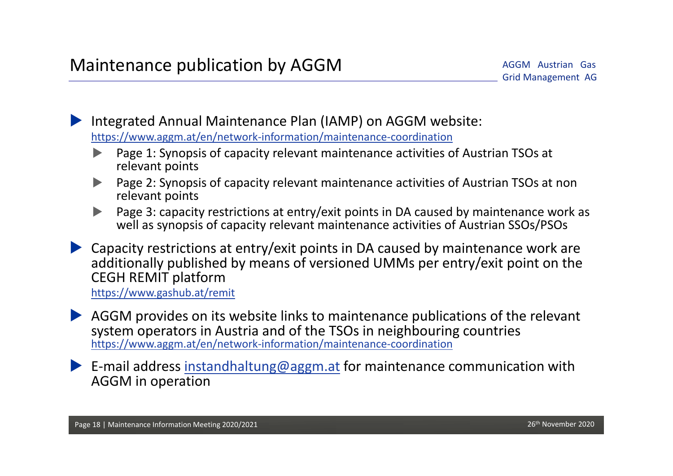Integrated Annual Maintenance Plan (IAMP) on AGGM website: https://www.aggm.at/en/network‐information/maintenance‐coordination

- $\blacktriangleright$  Page 1: Synopsis of capacity relevant maintenance activities of Austrian TSOs at relevant points
- $\blacktriangleright$  Page 2: Synopsis of capacity relevant maintenance activities of Austrian TSOs at non relevant points
- $\blacktriangleright$  Page 3: capacity restrictions at entry/exit points in DA caused by maintenance work as well as synopsis of capacity relevant maintenance activities of Austrian SSOs/PSOs
- Capacity restrictions at entry/exit points in DA caused by maintenance work are additionally published by means of versioned UMMs per entry/exit point on the CEGH REMIT platform

https://www.gashub.at/remit

- AGGM provides on its website links to maintenance publications of the relevant system operators in Austria and of the TSOs in neighbouring countries https://www.aggm.at/en/network‐information/maintenance‐coordination
- E-mail address instandhaltung@aggm.at for maintenance communication with AGGM in operation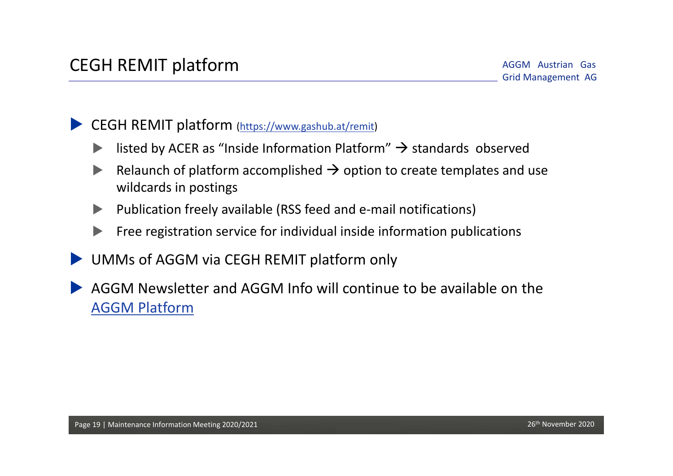CEGH REMIT platform (https://www.gashub.at/remit)

- isted by ACER as "Inside Information Platform"  $\rightarrow$  standards observed
- Relaunch of platform accomplished  $\rightarrow$  option to create templates and use wildcards in postings
- Publication freely available (RSS feed and e‐mail notifications)
- Free registration service for individual inside information publications
- UMMs of AGGM via CEGH REMIT platform only
- AGGM Newsletter and AGGM Info will continue to be available on the AGGM Platform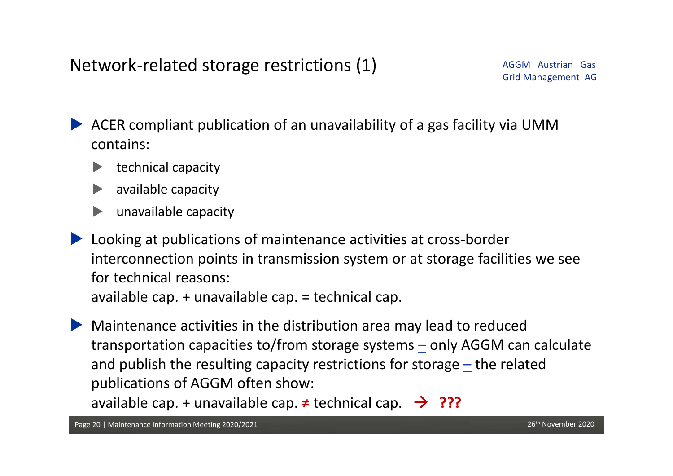ACER compliant publication of an unavailability of a gas facility via UMM contains:

- technical capacity
- available capacity
- unavailable capacity
- Looking at publications of maintenance activities at cross‐border interconnection points in transmission system or at storage facilities we see for technical reasons:available cap. + unavailable cap. = technical cap.

 Maintenance activities in the distribution area may lead to reduced transportation capacities to/from storage systems – only AGGM can calculate and publish the resulting capacity restrictions for storage  $\pm$  the related publications of AGGM often show:

available cap. + unavailable cap. **≠** technical cap. **???**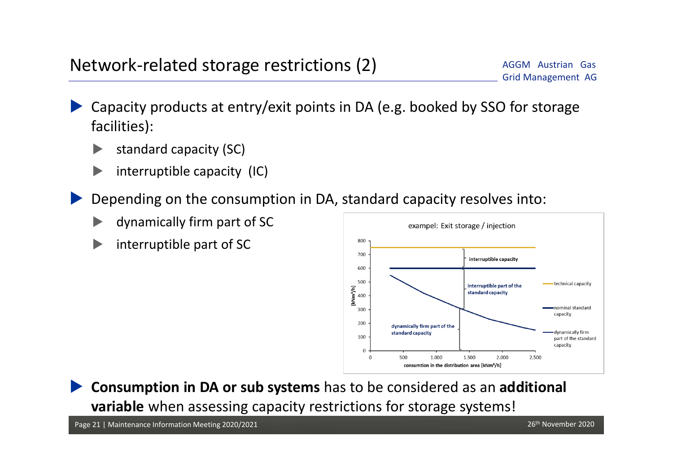- Capacity products at entry/exit points in DA (e.g. booked by SSO for storage facilities):
	- standard capacity (SC)
	- interruptible capacity (IC)
- Depending on the consumption in DA, standard capacity resolves into:
	- dynamically firm part of SC
	- interruptible part of SC



 **Consumption in DA or sub systems** has to be considered as an **additional variable** when assessing capacity restrictions for storage systems!

Page 21 | Maintenance Information Meeting 2020/2021 26th November 2020 26th November 2020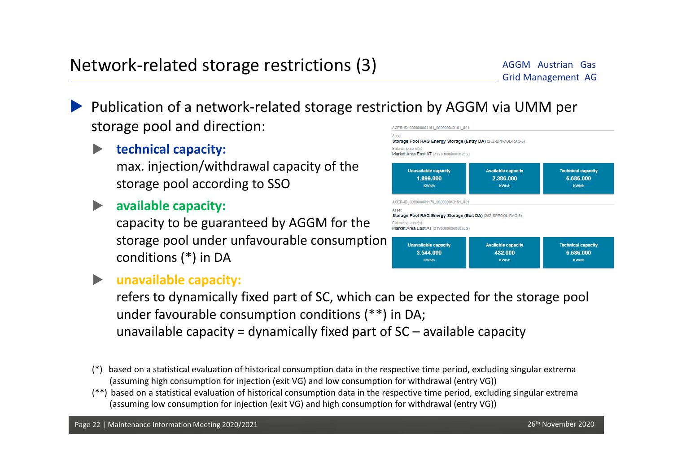- Publication of a network‐related storage restriction by AGGM via UMM per storage pool and direction: ACER-ID: 000000001161 000000043191 001
	- **technical capacity:** max. injection/withdrawal capacity of the storage pool according to SSO
	- **available capacity:**

capacity to be guaranteed by AGGM for the storage pool under unfavourable consumption conditions (\*) in DA



#### **unavailable capacity:**

refers to dynamically fixed part of SC, which can be expected for the storage pool under favourable consumption conditions (\*\*) in DA; unavailable capacity = dynamically fixed part of  $SC -$  available capacity

- (\*) based on a statistical evaluation of historical consumption data in the respective time period, excluding singular extrema (assuming high consumption for injection (exit VG) and low consumption for withdrawal (entry VG))
- (\*\*) based on a statistical evaluation of historical consumption data in the respective time period, excluding singular extrema (assuming low consumption for injection (exit VG) and high consumption for withdrawal (entry VG))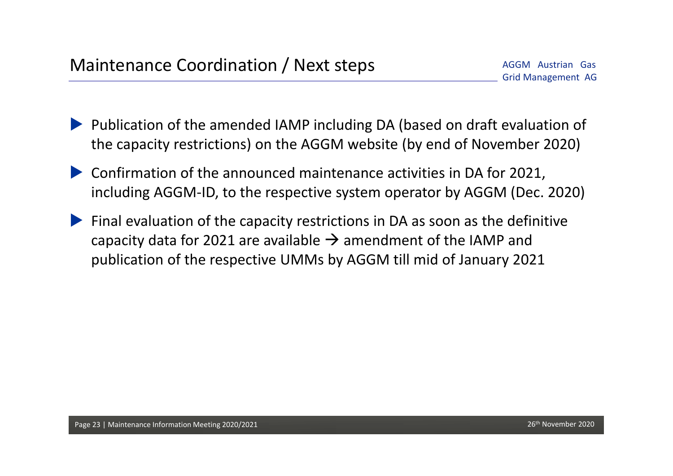- Publication of the amended IAMP including DA (based on draft evaluation of the capacity restrictions) on the AGGM website (by end of November 2020)
- Confirmation of the announced maintenance activities in DA for 2021, including AGGM‐ID, to the respective system operator by AGGM (Dec. 2020)
- Final evaluation of the capacity restrictions in DA as soon as the definitive capacity data for 2021 are available  $\rightarrow$  amendment of the IAMP and publication of the respective UMMs by AGGM till mid of January 2021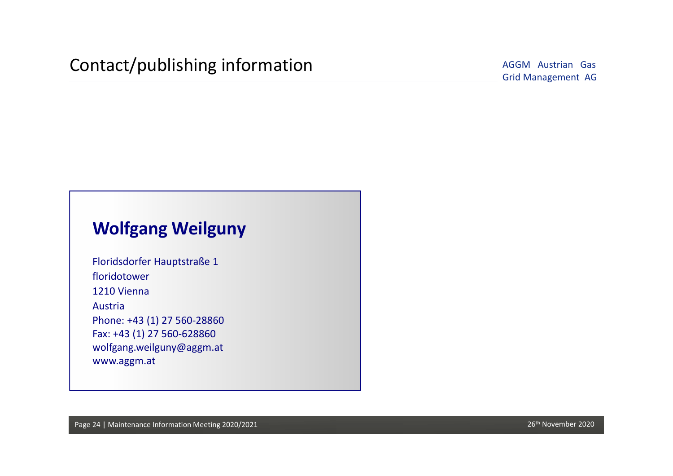AGGM Austrian Gas

## **Wolfgang Weilguny**

Floridsdorfer Hauptstraße 1 floridotower1210 ViennaAustriaPhone: +43 (1) 27 560‐28860 Fax: +43 (1) 27 560‐628860 wolfgang.weilguny@aggm.at www.aggm.at

Page 24 | Maintenance Information Meeting 2020/2021 26th November 2020